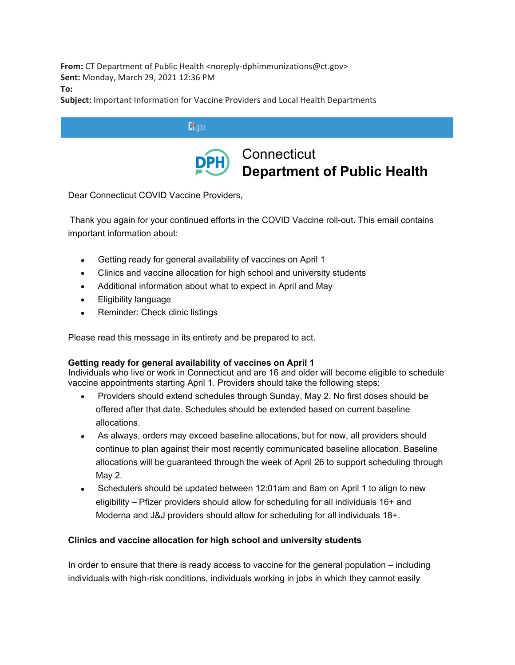**From:** CT Department of Public Health <noreply-dphimmunizations@ct.gov> **Sent:** Monday, March 29, 2021 12:36 PM **To:**

**Subject:** Important Information for Vaccine Providers and Local Health Departments

| Linnu |                                                              |
|-------|--------------------------------------------------------------|
|       | <b>DPH</b> Connecticut<br><b>Department of Public Health</b> |

Dear Connecticut COVID Vaccine Providers,

 Thank you again for your continued efforts in the COVID Vaccine roll-out. This email contains important information about:

- Getting ready for general availability of vaccines on April 1
- Clinics and vaccine allocation for high school and university students
- Additional information about what to expect in April and May
- Eligibility language
- Reminder: Check clinic listings

Please read this message in its entirety and be prepared to act.

# **Getting ready for general availability of vaccines on April 1**

Individuals who live or work in Connecticut and are 16 and older will become eligible to schedule vaccine appointments starting April 1. Providers should take the following steps:

- Providers should extend schedules through Sunday, May 2. No first doses should be offered after that date. Schedules should be extended based on current baseline allocations.
- As always, orders may exceed baseline allocations, but for now, all providers should continue to plan against their most recently communicated baseline allocation. Baseline allocations will be guaranteed through the week of April 26 to support scheduling through May 2.
- Schedulers should be updated between 12:01am and 8am on April 1 to align to new eligibility – Pfizer providers should allow for scheduling for all individuals 16+ and Moderna and J&J providers should allow for scheduling for all individuals 18+.

# **Clinics and vaccine allocation for high school and university students**

In order to ensure that there is ready access to vaccine for the general population – including individuals with high-risk conditions, individuals working in jobs in which they cannot easily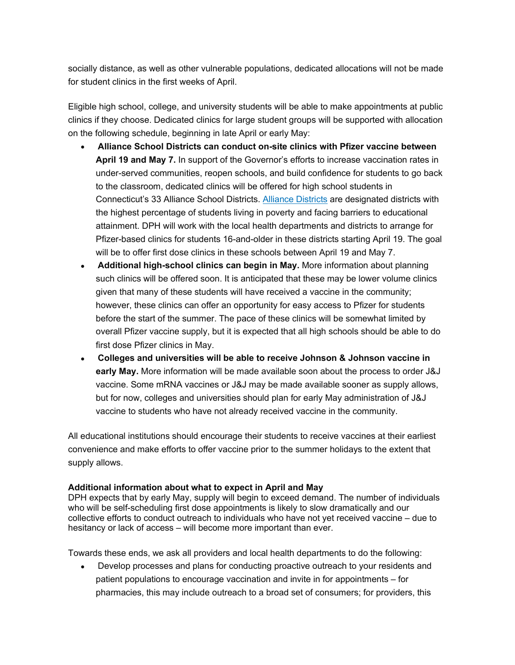socially distance, as well as other vulnerable populations, dedicated allocations will not be made for student clinics in the first weeks of April.

Eligible high school, college, and university students will be able to make appointments at public clinics if they choose. Dedicated clinics for large student groups will be supported with allocation on the following schedule, beginning in late April or early May:

- **Alliance School Districts can conduct on-site clinics with Pfizer vaccine between April 19 and May 7.** In support of the Governor's efforts to increase vaccination rates in under-served communities, reopen schools, and build confidence for students to go back to the classroom, dedicated clinics will be offered for high school students in Connecticut's 33 Alliance School Districts. Alliance [Districts](https://gcc02.safelinks.protection.outlook.com/?url=https%3A%2F%2Fdepartmentofpublichealth.cmail19.com%2Ft%2Fj-l-fldkhut-iilklikuti-j%2F&data=04%7C01%7CKathy.Kudish%40ct.gov%7C9c413f1945df428ef76908d8f2d0c3e5%7C118b7cfaa3dd48b9b02631ff69bb738b%7C0%7C0%7C637526325752081815%7CUnknown%7CTWFpbGZsb3d8eyJWIjoiMC4wLjAwMDAiLCJQIjoiV2luMzIiLCJBTiI6Ik1haWwiLCJXVCI6Mn0%3D%7C1000&sdata=hAhER1iUPJVZ4WkxN78cA9MUex96yNf1vwo4fmN6G4E%3D&reserved=0) are designated districts with the highest percentage of students living in poverty and facing barriers to educational attainment. DPH will work with the local health departments and districts to arrange for Pfizer-based clinics for students 16-and-older in these districts starting April 19. The goal will be to offer first dose clinics in these schools between April 19 and May 7.
- **Additional high-school clinics can begin in May.** More information about planning such clinics will be offered soon. It is anticipated that these may be lower volume clinics given that many of these students will have received a vaccine in the community; however, these clinics can offer an opportunity for easy access to Pfizer for students before the start of the summer. The pace of these clinics will be somewhat limited by overall Pfizer vaccine supply, but it is expected that all high schools should be able to do first dose Pfizer clinics in May.
- **Colleges and universities will be able to receive Johnson & Johnson vaccine in early May.** More information will be made available soon about the process to order J&J vaccine. Some mRNA vaccines or J&J may be made available sooner as supply allows, but for now, colleges and universities should plan for early May administration of J&J vaccine to students who have not already received vaccine in the community.

All educational institutions should encourage their students to receive vaccines at their earliest convenience and make efforts to offer vaccine prior to the summer holidays to the extent that supply allows.

## **Additional information about what to expect in April and May**

DPH expects that by early May, supply will begin to exceed demand. The number of individuals who will be self-scheduling first dose appointments is likely to slow dramatically and our collective efforts to conduct outreach to individuals who have not yet received vaccine – due to hesitancy or lack of access – will become more important than ever.

Towards these ends, we ask all providers and local health departments to do the following:

• Develop processes and plans for conducting proactive outreach to your residents and patient populations to encourage vaccination and invite in for appointments – for pharmacies, this may include outreach to a broad set of consumers; for providers, this